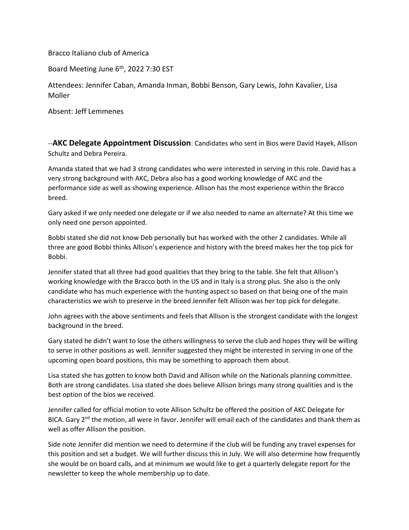Bracco Italiano club of America

Board Meeting June 6<sup>th</sup>, 2022 7:30 EST

Attendees: Jennifer Caban, Amanda Inman, Bobbi Benson, Gary Lewis, John Kavalier, Lisa Moller

Absent: Jeff Lemmenes

--**AKC Delegate Appointment Discussion**: Candidates who sent in Bios were David Hayek, Allison Schultz and Debra Pereira.

Amanda stated that we had 3 strong candidates who were interested in serving in this role. David has a very strong background with AKC, Debra also has a good working knowledge of AKC and the performance side as well as showing experience. Allison has the most experience within the Bracco breed.

Gary asked if we only needed one delegate or if we also needed to name an alternate? At this time we only need one person appointed.

Bobbi stated she did not know Deb personally but has worked with the other 2 candidates. While all three are good Bobbi thinks Allison's experience and history with the breed makes her the top pick for Bobbi.

Jennifer stated that all three had good qualities that they bring to the table. She felt that Allison's working knowledge with the Bracco both in the US and in Italy is a strong plus. She also is the only candidate who has much experience with the hunting aspect so based on that being one of the main characteristics we wish to preserve in the breed Jennifer felt Allison was her top pick for delegate.

John agrees with the above sentiments and feels that Allison is the strongest candidate with the longest background in the breed.

Gary stated he didn't want to lose the others willingness to serve the club and hopes they will be willing to serve in other positions as well. Jennifer suggested they might be interested in serving in one of the upcoming open board positions, this may be something to approach them about.

Lisa stated she has gotten to know both David and Allison while on the Nationals planning committee. Both are strong candidates. Lisa stated she does believe Allison brings many strong qualities and is the best option of the bios we received.

Jennifer called for official motion to vote Allison Schultz be offered the position of AKC Delegate for BICA. Gary 2<sup>nd</sup> the motion, all were in favor. Jennifer will email each of the candidates and thank them as well as offer Allison the position.

Side note Jennifer did mention we need to determine if the club will be funding any travel expenses for this position and set a budget. We will further discuss this in July. We will also determine how frequently she would be on board calls, and at minimum we would like to get a quarterly delegate report for the newsletter to keep the whole membership up to date.